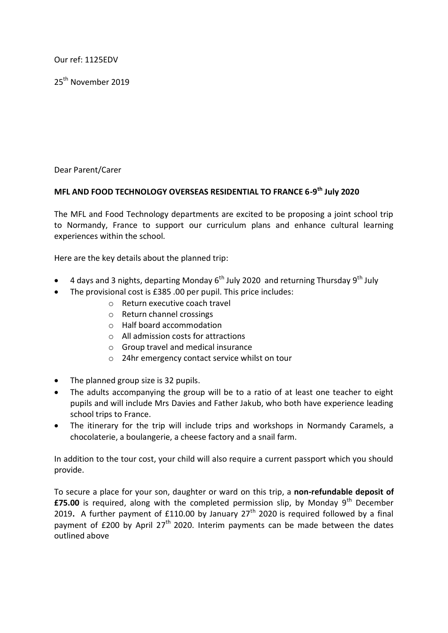Our ref: 1125EDV

25<sup>th</sup> November 2019

Dear Parent/Carer

## **MFL AND FOOD TECHNOLOGY OVERSEAS RESIDENTIAL TO FRANCE 6-9 th July 2020**

The MFL and Food Technology departments are excited to be proposing a joint school trip to Normandy, France to support our curriculum plans and enhance cultural learning experiences within the school.

Here are the key details about the planned trip:

- 4 days and 3 nights, departing Monday 6<sup>th</sup> July 2020 and returning Thursday 9<sup>th</sup> July
- The provisional cost is £385 .00 per pupil. This price includes:
	- o Return executive coach travel
	- o Return channel crossings
	- o Half board accommodation
	- o All admission costs for attractions
	- o Group travel and medical insurance
	- o 24hr emergency contact service whilst on tour
- The planned group size is 32 pupils.
- The adults accompanying the group will be to a ratio of at least one teacher to eight pupils and will include Mrs Davies and Father Jakub, who both have experience leading school trips to France.
- The itinerary for the trip will include trips and workshops in Normandy Caramels, a chocolaterie, a boulangerie, a cheese factory and a snail farm.

In addition to the tour cost, your child will also require a current passport which you should provide.

To secure a place for your son, daughter or ward on this trip, a **non-refundable deposit of £75.00** is required, along with the completed permission slip, by Monday 9<sup>th</sup> December 2019. A further payment of £110.00 by January  $27<sup>th</sup>$  2020 is required followed by a final payment of  $E200$  by April  $27<sup>th</sup>$  2020. Interim payments can be made between the dates outlined above